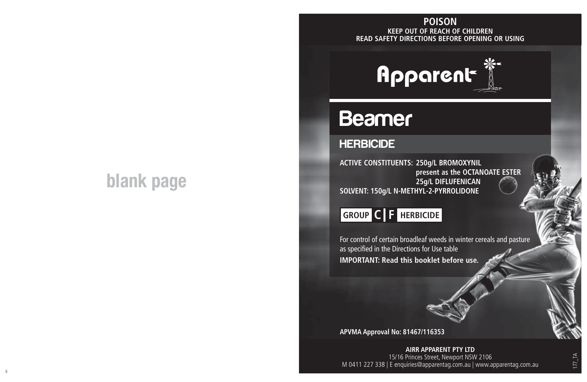# **blank page**

### **KEEP OUT OF REACH OF CHILDREN READ SAFETY DIRECTIONS BEFORE OPENING OR USING POISON**



## **Beamer**

### **HERBICIDE**

**ACTIVE CONSTITUENTS: 250g/L BROMOXYNIL present as the OCTANOATE ESTER 25g/L DIFLUFENICAN SOLVENT: 150g/L N-METHYL-2-PYRROLIDONE**

## **GROUP C F HERBICIDE**

For control of certain broadleaf weeds in winter cereals and pasture as specified in the Directions for Use table **IMPORTANT: Read this booklet before use.**

**APVMA Approval No: 81467/116353**

ii aastad ka ka maanaa ka maanaa ka maanaa ka maanaa ka maanaa ka maanaa ka maanaa ka maanaa maanaa ka maanaa<br>Ii **AIRR APPARENT PTY LTD** 15/16 Princes Street, Newport NSW 2106 M 0411 227 338 | E enquiries@apparentag.com.au | www.apparentag.com.au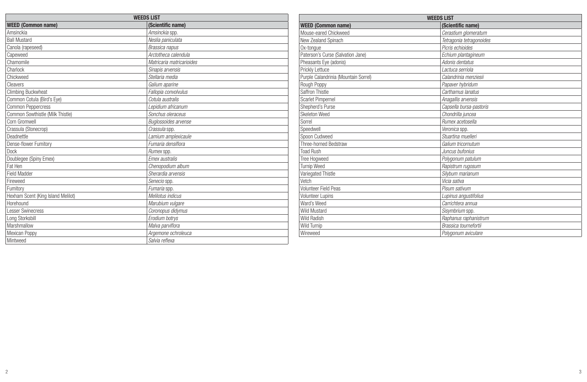| <b>WEEDS LIST</b>           |  |  |  |  |  |
|-----------------------------|--|--|--|--|--|
| (Scientific name)           |  |  |  |  |  |
| Amsinckia spp.              |  |  |  |  |  |
| Neslia paniculata           |  |  |  |  |  |
| Brassica napus              |  |  |  |  |  |
| Arctotheca calendula        |  |  |  |  |  |
| Matricaria matricarioides   |  |  |  |  |  |
| Sinapis arvensis            |  |  |  |  |  |
| Stellaria media             |  |  |  |  |  |
| Galium aparine              |  |  |  |  |  |
| Fallopia convolvulus        |  |  |  |  |  |
| Cotula australis            |  |  |  |  |  |
| Lepidium africanum          |  |  |  |  |  |
| Sonchus oleraceus           |  |  |  |  |  |
| <b>Bualossoides arvense</b> |  |  |  |  |  |
| Crassula spp.               |  |  |  |  |  |
| Lamium amplexicaule         |  |  |  |  |  |
| Fumaria densiflora          |  |  |  |  |  |
| Rumex spp.                  |  |  |  |  |  |
| <b>Fmex australis</b>       |  |  |  |  |  |
| Chenopodium album           |  |  |  |  |  |
| Sherardia arvensis          |  |  |  |  |  |
| Senecio spp.                |  |  |  |  |  |
| Fumaria spp.                |  |  |  |  |  |
| Melilotus indicus           |  |  |  |  |  |
| Marubium vulgare            |  |  |  |  |  |
| Coronopus didymus           |  |  |  |  |  |
| Erodium botrys              |  |  |  |  |  |
| Malva parviflora            |  |  |  |  |  |
| Argemone ochroleuca         |  |  |  |  |  |
| Salvia reflexa              |  |  |  |  |  |
|                             |  |  |  |  |  |

| <b>WEEDS LIST</b>                    |                          |  |  |  |
|--------------------------------------|--------------------------|--|--|--|
| <b>WEED (Common name)</b>            | (Scientific name)        |  |  |  |
| Mouse-eared Chickweed                | Cerastium glomeratum     |  |  |  |
| New Zealand Spinach                  | Tetragonia tetragonoides |  |  |  |
| Ox-tonque                            | Picris echioides         |  |  |  |
| Paterson's Curse (Salvation Jane)    | Echium plantagineum      |  |  |  |
| Pheasants Eye (adonis)               | Adonis dentatus          |  |  |  |
| Prickly Lettuce                      | I actuca serriola        |  |  |  |
| Purple Calandrinia (Mountain Sorrel) | Calandrinia menziesii    |  |  |  |
| Rough Poppy                          | Papaver hybridum         |  |  |  |
| Saffron Thistle                      | Carthamus lanatus        |  |  |  |
| Scarlet Pimpernel                    | Anagallis arvensis       |  |  |  |
| Shepherd's Purse                     | Capsella bursa-pastoris  |  |  |  |
| Skeleton Weed                        | Chondrilla juncea        |  |  |  |
| Sorrel                               | Rumex acetosella         |  |  |  |
| Speedwell                            | Veronica spp.            |  |  |  |
| Spoon Cudweed                        | Stuartina muelleri       |  |  |  |
| Three-horned Bedstraw                | Galium tricornutum       |  |  |  |
| <b>Toad Rush</b>                     | Juncus bufonius          |  |  |  |
| Tree Hogweed                         | Polygonum patulum        |  |  |  |
| Turnip Weed                          | Rapistrum rugosum        |  |  |  |
| Variegated Thistle                   | Silvbum marianum         |  |  |  |
| Vetch                                | Vicia sativa             |  |  |  |
| Volunteer Field Peas                 | Pisum sativum            |  |  |  |
| <b>Volunteer Lupins</b>              | Lupinus angustifolius    |  |  |  |
| Ward's Weed                          | Carrichtera annua        |  |  |  |
| Wild Mustard                         | Sisymbrium spp.          |  |  |  |
| <b>Wild Radish</b>                   | Raphanus raphanistrum    |  |  |  |
| Wild Turnip                          | Brassica tournefortii    |  |  |  |
| Wireweed                             | Polygonum aviculare      |  |  |  |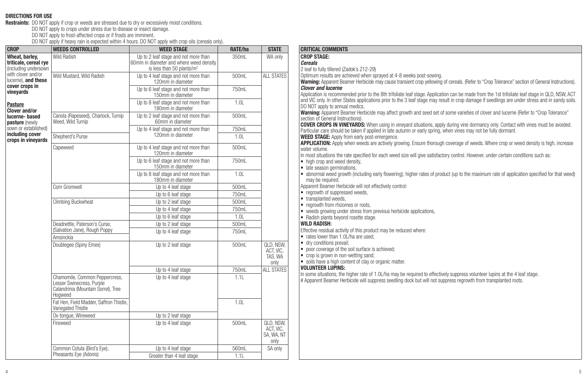**DIRECTIONS FOR USE**<br>**Restraints:** DO NOT apply if crop or weeds are stressed due to dry or excessively moist conditions.<br>DO NOT apply to crops under stress due to disease or insect damage.<br>DO NOT apply to frost-affected c

| Wheat, barley.<br><b>CROP STAGE:</b><br>Wild Radish<br>Up to 2 leaf stage and not more than<br>350mL<br>WA only<br>triticale, cereal rye<br>60mm in diameter and where weed density<br><b>Cereals</b><br>(including undersown<br>is less than 50 plants/m <sup>2</sup><br>2 leaf to fully tillered (Za<br>with clover and/or<br><b>ALL STATES</b><br>Optimum results are acl<br>Wild Mustard, Wild Radish<br>Up to 4 leaf stage and not more than<br>500mL<br>lucerne), and these<br>120mm in diameter<br><b>Warning: Apparent Bea</b><br>cover crops in<br><b>Clover and lucerne</b><br>Up to 6 leaf stage and not more than<br>750ml<br>vinevards<br>Application is recommer<br>150mm in diameter<br>and VIC only. In other St<br>1.0L<br>Up to 8 leaf stage and not more than<br>Pasture<br>DO NOT apply to annual<br>180mm in diameter<br><b>Clover and/or</b><br><b>Warning: Apparent Bea</b><br>Up to 2 leaf stage and not more than<br>500mL<br>Canola (Rapeseed), Charlock, Turnip<br>lucerne- based<br>section of General Instru<br>Weed, Wild Turnip<br>60mm in diameter<br>pasture (newly<br><b>COVER CROPS IN VINI</b><br>sown or established)<br>Up to 4 leaf stage and not more than<br>750mL<br>Particular care should b<br>includina cover<br>120mm in diameter<br>Shepherd's Purse<br>1.0L<br><b>WEED STAGE: Apply fro</b><br>crops in vineyards<br><b>APPLICATION: Apply w</b><br>Up to 4 leaf stage and not more than<br>Capeweed<br>500mL<br>water volume.<br>120mm in diameter<br>In most situations the ra<br>Up to 6 leaf stage and not more than<br>750mL<br>• high crop and weed o<br>150mm in diameter<br>· late season germinat<br>Up to 8 leaf stage and not more than<br>1.0L<br>· abnormal weed grow<br>180mm in diameter<br>may be required.<br>Apparent Beamer Herbio<br>Corn Gromwell<br>Up to 4 leaf stage<br>500mL<br>• regrowth of suppress<br>750mL<br>Up to 6 leaf stage<br>• transplanted weeds,<br>Climbing Buckwheat<br>Up to 2 leaf stage<br>500mL<br>• regrowth from rhizom<br>750mL<br>Up to 4 leaf stage<br>• weeds growing under<br>1.0L<br>Up to 6 leaf stage<br>• Radish plants beyond<br><b>WILD RADISH:</b><br>Deadnettle, Paterson's Curse.<br>500mL<br>Up to 2 leaf stage |
|-------------------------------------------------------------------------------------------------------------------------------------------------------------------------------------------------------------------------------------------------------------------------------------------------------------------------------------------------------------------------------------------------------------------------------------------------------------------------------------------------------------------------------------------------------------------------------------------------------------------------------------------------------------------------------------------------------------------------------------------------------------------------------------------------------------------------------------------------------------------------------------------------------------------------------------------------------------------------------------------------------------------------------------------------------------------------------------------------------------------------------------------------------------------------------------------------------------------------------------------------------------------------------------------------------------------------------------------------------------------------------------------------------------------------------------------------------------------------------------------------------------------------------------------------------------------------------------------------------------------------------------------------------------------------------------------------------------------------------------------------------------------------------------------------------------------------------------------------------------------------------------------------------------------------------------------------------------------------------------------------------------------------------------------------------------------------------------------------------------------------------------------------------------------------------------------------------------------------------|
|                                                                                                                                                                                                                                                                                                                                                                                                                                                                                                                                                                                                                                                                                                                                                                                                                                                                                                                                                                                                                                                                                                                                                                                                                                                                                                                                                                                                                                                                                                                                                                                                                                                                                                                                                                                                                                                                                                                                                                                                                                                                                                                                                                                                                               |
|                                                                                                                                                                                                                                                                                                                                                                                                                                                                                                                                                                                                                                                                                                                                                                                                                                                                                                                                                                                                                                                                                                                                                                                                                                                                                                                                                                                                                                                                                                                                                                                                                                                                                                                                                                                                                                                                                                                                                                                                                                                                                                                                                                                                                               |
|                                                                                                                                                                                                                                                                                                                                                                                                                                                                                                                                                                                                                                                                                                                                                                                                                                                                                                                                                                                                                                                                                                                                                                                                                                                                                                                                                                                                                                                                                                                                                                                                                                                                                                                                                                                                                                                                                                                                                                                                                                                                                                                                                                                                                               |
|                                                                                                                                                                                                                                                                                                                                                                                                                                                                                                                                                                                                                                                                                                                                                                                                                                                                                                                                                                                                                                                                                                                                                                                                                                                                                                                                                                                                                                                                                                                                                                                                                                                                                                                                                                                                                                                                                                                                                                                                                                                                                                                                                                                                                               |
|                                                                                                                                                                                                                                                                                                                                                                                                                                                                                                                                                                                                                                                                                                                                                                                                                                                                                                                                                                                                                                                                                                                                                                                                                                                                                                                                                                                                                                                                                                                                                                                                                                                                                                                                                                                                                                                                                                                                                                                                                                                                                                                                                                                                                               |
|                                                                                                                                                                                                                                                                                                                                                                                                                                                                                                                                                                                                                                                                                                                                                                                                                                                                                                                                                                                                                                                                                                                                                                                                                                                                                                                                                                                                                                                                                                                                                                                                                                                                                                                                                                                                                                                                                                                                                                                                                                                                                                                                                                                                                               |
|                                                                                                                                                                                                                                                                                                                                                                                                                                                                                                                                                                                                                                                                                                                                                                                                                                                                                                                                                                                                                                                                                                                                                                                                                                                                                                                                                                                                                                                                                                                                                                                                                                                                                                                                                                                                                                                                                                                                                                                                                                                                                                                                                                                                                               |
|                                                                                                                                                                                                                                                                                                                                                                                                                                                                                                                                                                                                                                                                                                                                                                                                                                                                                                                                                                                                                                                                                                                                                                                                                                                                                                                                                                                                                                                                                                                                                                                                                                                                                                                                                                                                                                                                                                                                                                                                                                                                                                                                                                                                                               |
|                                                                                                                                                                                                                                                                                                                                                                                                                                                                                                                                                                                                                                                                                                                                                                                                                                                                                                                                                                                                                                                                                                                                                                                                                                                                                                                                                                                                                                                                                                                                                                                                                                                                                                                                                                                                                                                                                                                                                                                                                                                                                                                                                                                                                               |
|                                                                                                                                                                                                                                                                                                                                                                                                                                                                                                                                                                                                                                                                                                                                                                                                                                                                                                                                                                                                                                                                                                                                                                                                                                                                                                                                                                                                                                                                                                                                                                                                                                                                                                                                                                                                                                                                                                                                                                                                                                                                                                                                                                                                                               |
|                                                                                                                                                                                                                                                                                                                                                                                                                                                                                                                                                                                                                                                                                                                                                                                                                                                                                                                                                                                                                                                                                                                                                                                                                                                                                                                                                                                                                                                                                                                                                                                                                                                                                                                                                                                                                                                                                                                                                                                                                                                                                                                                                                                                                               |
|                                                                                                                                                                                                                                                                                                                                                                                                                                                                                                                                                                                                                                                                                                                                                                                                                                                                                                                                                                                                                                                                                                                                                                                                                                                                                                                                                                                                                                                                                                                                                                                                                                                                                                                                                                                                                                                                                                                                                                                                                                                                                                                                                                                                                               |
|                                                                                                                                                                                                                                                                                                                                                                                                                                                                                                                                                                                                                                                                                                                                                                                                                                                                                                                                                                                                                                                                                                                                                                                                                                                                                                                                                                                                                                                                                                                                                                                                                                                                                                                                                                                                                                                                                                                                                                                                                                                                                                                                                                                                                               |
|                                                                                                                                                                                                                                                                                                                                                                                                                                                                                                                                                                                                                                                                                                                                                                                                                                                                                                                                                                                                                                                                                                                                                                                                                                                                                                                                                                                                                                                                                                                                                                                                                                                                                                                                                                                                                                                                                                                                                                                                                                                                                                                                                                                                                               |
|                                                                                                                                                                                                                                                                                                                                                                                                                                                                                                                                                                                                                                                                                                                                                                                                                                                                                                                                                                                                                                                                                                                                                                                                                                                                                                                                                                                                                                                                                                                                                                                                                                                                                                                                                                                                                                                                                                                                                                                                                                                                                                                                                                                                                               |
|                                                                                                                                                                                                                                                                                                                                                                                                                                                                                                                                                                                                                                                                                                                                                                                                                                                                                                                                                                                                                                                                                                                                                                                                                                                                                                                                                                                                                                                                                                                                                                                                                                                                                                                                                                                                                                                                                                                                                                                                                                                                                                                                                                                                                               |
| Effective residual activity<br>(Salvation Jane), Rough Poppy<br>750mL<br>Up to 4 leaf stage<br>• rates lower than 1.0L<br>Amsinckia                                                                                                                                                                                                                                                                                                                                                                                                                                                                                                                                                                                                                                                                                                                                                                                                                                                                                                                                                                                                                                                                                                                                                                                                                                                                                                                                                                                                                                                                                                                                                                                                                                                                                                                                                                                                                                                                                                                                                                                                                                                                                           |
| • dry conditions prevail<br>Doublegee (Spiny Emex)<br>Up to 2 leaf stage<br>500mL<br>QLD. NSW.<br>• poor coverage of the<br>ACT. VIC.<br>• crop is grown in non-<br>TAS, WA<br>• soils have a high con<br>only                                                                                                                                                                                                                                                                                                                                                                                                                                                                                                                                                                                                                                                                                                                                                                                                                                                                                                                                                                                                                                                                                                                                                                                                                                                                                                                                                                                                                                                                                                                                                                                                                                                                                                                                                                                                                                                                                                                                                                                                                |
| <b>VOLUNTEER LUPINS:</b><br><b>ALL STATES</b><br>750mL<br>Up to 4 leaf stage<br>In some situations, the h                                                                                                                                                                                                                                                                                                                                                                                                                                                                                                                                                                                                                                                                                                                                                                                                                                                                                                                                                                                                                                                                                                                                                                                                                                                                                                                                                                                                                                                                                                                                                                                                                                                                                                                                                                                                                                                                                                                                                                                                                                                                                                                     |
| 1.1L<br>Chamomile, Common Peppercress,<br>Up to 4 leaf stage<br># Apparent Beamer Herl<br>Lesser Swinecress, Purple<br>Calandrinia (Mountain Sorrel), Tree<br>Hogweed                                                                                                                                                                                                                                                                                                                                                                                                                                                                                                                                                                                                                                                                                                                                                                                                                                                                                                                                                                                                                                                                                                                                                                                                                                                                                                                                                                                                                                                                                                                                                                                                                                                                                                                                                                                                                                                                                                                                                                                                                                                         |
| 1.0L<br>Fat Hen. Field Madder, Saffron Thistle.<br>Variegated Thistle                                                                                                                                                                                                                                                                                                                                                                                                                                                                                                                                                                                                                                                                                                                                                                                                                                                                                                                                                                                                                                                                                                                                                                                                                                                                                                                                                                                                                                                                                                                                                                                                                                                                                                                                                                                                                                                                                                                                                                                                                                                                                                                                                         |
| Ox-tongue, Wireweed<br>Up to 2 leaf stage                                                                                                                                                                                                                                                                                                                                                                                                                                                                                                                                                                                                                                                                                                                                                                                                                                                                                                                                                                                                                                                                                                                                                                                                                                                                                                                                                                                                                                                                                                                                                                                                                                                                                                                                                                                                                                                                                                                                                                                                                                                                                                                                                                                     |
| QLD. NSW.<br>Fireweed<br>Up to 4 leaf stage<br>500mL<br>ACT. VIC.<br>SA, WA, NT<br>only                                                                                                                                                                                                                                                                                                                                                                                                                                                                                                                                                                                                                                                                                                                                                                                                                                                                                                                                                                                                                                                                                                                                                                                                                                                                                                                                                                                                                                                                                                                                                                                                                                                                                                                                                                                                                                                                                                                                                                                                                                                                                                                                       |
| Common Cotula (Bird's Eve).<br>Up to 4 leaf stage<br>560mL<br>SA only                                                                                                                                                                                                                                                                                                                                                                                                                                                                                                                                                                                                                                                                                                                                                                                                                                                                                                                                                                                                                                                                                                                                                                                                                                                                                                                                                                                                                                                                                                                                                                                                                                                                                                                                                                                                                                                                                                                                                                                                                                                                                                                                                         |
| Pheasants Eye (Adonis)<br>Greater than 4 leaf stage<br>1.1L                                                                                                                                                                                                                                                                                                                                                                                                                                                                                                                                                                                                                                                                                                                                                                                                                                                                                                                                                                                                                                                                                                                                                                                                                                                                                                                                                                                                                                                                                                                                                                                                                                                                                                                                                                                                                                                                                                                                                                                                                                                                                                                                                                   |

| ATE/ha           | <b>STATE</b>       | <b>CRITICAL COMMENTS</b>                                                                                                                                                                                              |
|------------------|--------------------|-----------------------------------------------------------------------------------------------------------------------------------------------------------------------------------------------------------------------|
| 350ml            | WA only            | <b>CROP STAGE:</b>                                                                                                                                                                                                    |
|                  |                    | <b>Cereals</b>                                                                                                                                                                                                        |
|                  |                    | 2 leaf to fully tillered (Zadok's Z12-29)                                                                                                                                                                             |
| 500mL            | <b>ALL STATES</b>  | Optimum results are achieved when sprayed at 4-8 weeks post-sowing.<br>Warning: Apparent Beamer Herbicide may cause transient crop vellowing of cereals. (Refer to "Crop Tolerance" section of General Instructions). |
| 750ml            |                    | <b>Clover and lucerne</b>                                                                                                                                                                                             |
|                  |                    | Application is recommended prior to the 8th trifoliate leaf stage. Application can be made from the 1st trifoliate leaf stage in QLD, NSW, ACT                                                                        |
| 1.0L             |                    | and VIC only. In other States applications prior to the 3 leaf stage may result in crop damage if seedlings are under stress and in sandy soils.                                                                      |
|                  |                    | DO NOT apply to annual medics.                                                                                                                                                                                        |
| 500mL            |                    | Warning: Apparent Beamer Herbicide may affect growth and seed set of some varieties of clover and lucerne (Refer to "Crop Tolerance"<br>section of General Instructions).                                             |
|                  |                    | <b>COVER CROPS IN VINEYARDS:</b> When using in vineyard situations, apply during vine dormancy only. Contact with vines must be avoided.                                                                              |
| 750mL            |                    | Particular care should be taken if applied in late autumn or early spring, when vines may not be fully dormant.                                                                                                       |
| 1.01             |                    | <b>WEED STAGE:</b> Apply from early post-emergence.                                                                                                                                                                   |
| 500mL            |                    | APPLICATION: Apply when weeds are actively growing. Ensure thorough coverage of weeds. Where crop or weed density is high, increase                                                                                   |
|                  |                    | water volume.<br>In most situations the rate specified for each weed size will give satisfactory control. However, under certain conditions such as:                                                                  |
| 750ml            |                    | • high crop and weed density,                                                                                                                                                                                         |
|                  |                    | · late season germinations,                                                                                                                                                                                           |
| 1.0L             |                    | • abnormal weed growth (including early flowering); higher rates of product (up to the maximum rate of application specified for that weed)                                                                           |
|                  |                    | may be required.                                                                                                                                                                                                      |
| 500mL            |                    | Apparent Beamer Herbicide will not effectively control:<br>• regrowth of suppressed weeds,                                                                                                                            |
| 750mL            |                    | • transplanted weeds.                                                                                                                                                                                                 |
| 500mL            |                    | • regrowth from rhizomes or roots,                                                                                                                                                                                    |
| 750mL            |                    | • weeds growing under stress from previous herbicide applications,                                                                                                                                                    |
| 1.0 <sub>L</sub> |                    | • Radish plants beyond rosette stage.                                                                                                                                                                                 |
| 500mL            |                    | <b>WILD RADISH:</b><br>Effective residual activity of this product may be reduced where:                                                                                                                              |
| 750mL            |                    | • rates lower than 1.0L/ha are used;                                                                                                                                                                                  |
| 500mL            | QLD. NSW.          | • dry conditions prevail;                                                                                                                                                                                             |
|                  | ACT, VIC,          | • poor coverage of the soil surface is achieved;                                                                                                                                                                      |
|                  | TAS, WA            | • crop is grown in non-wetting sand;                                                                                                                                                                                  |
|                  | only               | • soils have a high content of clay or organic matter.<br><b>VOLUNTEER LUPINS:</b>                                                                                                                                    |
| 750mL            | ALL STATES         | In some situations, the higher rate of 1.0L/ha may be required to effectively suppress volunteer lupins at the 4 leaf stage.                                                                                          |
| 1.1L             |                    | # Apparent Beamer Herbicide will suppress seedling dock but will not suppress regrowth from transplanted roots.                                                                                                       |
|                  |                    |                                                                                                                                                                                                                       |
|                  |                    |                                                                                                                                                                                                                       |
| 1.0L             |                    |                                                                                                                                                                                                                       |
|                  |                    |                                                                                                                                                                                                                       |
|                  |                    |                                                                                                                                                                                                                       |
| 500mL            | QLD. NSW.          |                                                                                                                                                                                                                       |
|                  | ACT. VIC.          |                                                                                                                                                                                                                       |
|                  | SA. WA. NT<br>only |                                                                                                                                                                                                                       |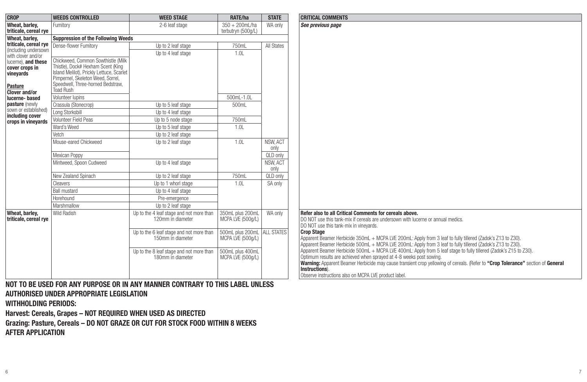| <b>CROP</b><br><b>WEED STAGE</b><br><b>STATE</b><br><b>CRITICAL COMMENTS</b><br><b>WEEDS CONTROLLED</b><br>RATE/ha<br>Wheat, barlev.<br>See previous page<br>Fumitory<br>2-6 leaf stage<br>$350 + 200$ mL/ha<br>WA only<br>triticale, cereal rye<br>terbutryn (500g/L)<br><b>Suppression of the Following Weeds</b><br>Wheat, barlev.<br>triticale, cereal rye<br>Dense-flower Fumitory<br>750mL<br>All States<br>Up to 2 leaf stage<br>(including undersown<br>1.0L<br>Up to 4 leaf stage<br>with clover and/or<br>Chickweed. Common Sowthistle (Milk)<br>lucerne). and these |  |
|--------------------------------------------------------------------------------------------------------------------------------------------------------------------------------------------------------------------------------------------------------------------------------------------------------------------------------------------------------------------------------------------------------------------------------------------------------------------------------------------------------------------------------------------------------------------------------|--|
|                                                                                                                                                                                                                                                                                                                                                                                                                                                                                                                                                                                |  |
|                                                                                                                                                                                                                                                                                                                                                                                                                                                                                                                                                                                |  |
|                                                                                                                                                                                                                                                                                                                                                                                                                                                                                                                                                                                |  |
|                                                                                                                                                                                                                                                                                                                                                                                                                                                                                                                                                                                |  |
|                                                                                                                                                                                                                                                                                                                                                                                                                                                                                                                                                                                |  |
|                                                                                                                                                                                                                                                                                                                                                                                                                                                                                                                                                                                |  |
| Thistle), Dock# Hexham Scent (King<br>cover crops in<br>Island Melilot), Prickly Lettuce, Scarlet                                                                                                                                                                                                                                                                                                                                                                                                                                                                              |  |
| vineyards<br>Pimpernel, Skeleton Weed, Sorrel,                                                                                                                                                                                                                                                                                                                                                                                                                                                                                                                                 |  |
| Speedwell, Three-horned Bedstraw.<br><b>Pasture</b>                                                                                                                                                                                                                                                                                                                                                                                                                                                                                                                            |  |
| <b>Toad Rush</b><br><b>Clover and/or</b>                                                                                                                                                                                                                                                                                                                                                                                                                                                                                                                                       |  |
| 500mL-1.0L<br>Volunteer lupins<br>lucerne-based                                                                                                                                                                                                                                                                                                                                                                                                                                                                                                                                |  |
| <b>pasture</b> (newly<br>Un to 5 leaf stage<br>500mL<br>Crassula (Stonecrop)                                                                                                                                                                                                                                                                                                                                                                                                                                                                                                   |  |
| sown or established)<br>Long Storksbill<br>Up to 4 leaf stage<br>including cover                                                                                                                                                                                                                                                                                                                                                                                                                                                                                               |  |
| 750mL<br>Volunteer Field Peas<br>Up to 5 node stage<br>crops in vinevards                                                                                                                                                                                                                                                                                                                                                                                                                                                                                                      |  |
| 1.0L<br>Ward's Weed<br>Up to 5 leaf stage                                                                                                                                                                                                                                                                                                                                                                                                                                                                                                                                      |  |
| Vetch<br>Up to 2 leaf stage                                                                                                                                                                                                                                                                                                                                                                                                                                                                                                                                                    |  |
| 1.0L<br>Mouse-eared Chickweed<br>NSW. ACT<br>Up to 2 leaf stage<br>only                                                                                                                                                                                                                                                                                                                                                                                                                                                                                                        |  |
| Mexican Poppy<br>QLD only                                                                                                                                                                                                                                                                                                                                                                                                                                                                                                                                                      |  |
| Up to 4 leaf stage<br>NSW. ACT<br>Mintweed, Spoon Cudweed                                                                                                                                                                                                                                                                                                                                                                                                                                                                                                                      |  |
| only                                                                                                                                                                                                                                                                                                                                                                                                                                                                                                                                                                           |  |
| New Zealand Spinach<br>Up to 2 leaf stage<br>750mL<br>QLD only                                                                                                                                                                                                                                                                                                                                                                                                                                                                                                                 |  |
| 1.0L<br>Up to 1 whorl stage<br>SA only<br>Cleavers                                                                                                                                                                                                                                                                                                                                                                                                                                                                                                                             |  |
| <b>Ball mustard</b><br>Up to 4 leaf stage                                                                                                                                                                                                                                                                                                                                                                                                                                                                                                                                      |  |
| Horehound<br>Pre-emergence                                                                                                                                                                                                                                                                                                                                                                                                                                                                                                                                                     |  |
| Marshmallow<br>Up to 2 leaf stage                                                                                                                                                                                                                                                                                                                                                                                                                                                                                                                                              |  |
| Refer also to all Critical Comments for cereals above.<br>Wheat, barlev.<br>Wild Radish<br>350mL plus 200mL<br>Up to the 4 leaf stage and not more than<br>WA only<br>triticale, cereal rve<br>120mm in diameter<br>DO NOT use this tank-mix if cereals are undersown with lucerne or annual medics.<br>MCPA LVE (500g/L)                                                                                                                                                                                                                                                      |  |
| DO NOT use this tank-mix in vineyards.                                                                                                                                                                                                                                                                                                                                                                                                                                                                                                                                         |  |
| 500mL plus 200mL ALL STATES<br><b>Crop Stage</b><br>Up to the 6 leaf stage and not more than                                                                                                                                                                                                                                                                                                                                                                                                                                                                                   |  |
| 150mm in diameter<br>MCPA LVE (500g/L)<br>Apparent Beamer Herbicide 350mL + MCPA LVE 200mL: Apply from 3 leaf to fully tillered (Zadok's Z13 to Z30).                                                                                                                                                                                                                                                                                                                                                                                                                          |  |
| Apparent Beamer Herbicide 500mL + MCPA LVE 200mL: Apply from 3 leaf to fully tillered (Zadok's Z13 to Z30).<br>Apparent Beamer Herbicide 500mL + MCPA LVE 400mL: Apply from 5 leaf stage to fully tillered (Zadok's Z15 to Z30).                                                                                                                                                                                                                                                                                                                                               |  |
| Up to the 8 leaf stage and not more than<br>500mL plus 400mL<br>Optimum results are achieved when sprayed at 4-8 weeks post sowing.<br>180mm in diameter<br>MCPA LVE (500g/L)                                                                                                                                                                                                                                                                                                                                                                                                  |  |
| Warning: Apparent Beamer Herbicide may cause transient crop yellowing of cereals. (Refer to "Crop Tolerance" section of General                                                                                                                                                                                                                                                                                                                                                                                                                                                |  |
| Instructions).                                                                                                                                                                                                                                                                                                                                                                                                                                                                                                                                                                 |  |
| Observe instructions also on MCPA LVE product label.                                                                                                                                                                                                                                                                                                                                                                                                                                                                                                                           |  |

**NOT TO BE USED FOR ANY PURPOSE OR IN ANY MANNER CONTRARY TO THIS LABEL UNLESS AUTHORISED UNDER APPROPRIATE LEGISLATION**

**WITHHOLDING PERIODS:**

**Harvest: Cereals, Grapes – NOT REQUIRED WHEN USED AS DIRECTED**

**Grazing: Pasture, Cereals – DO NOT GRAZE OR CUT FOR STOCK FOOD WITHIN 8 WEEKS AFTER APPLICATION**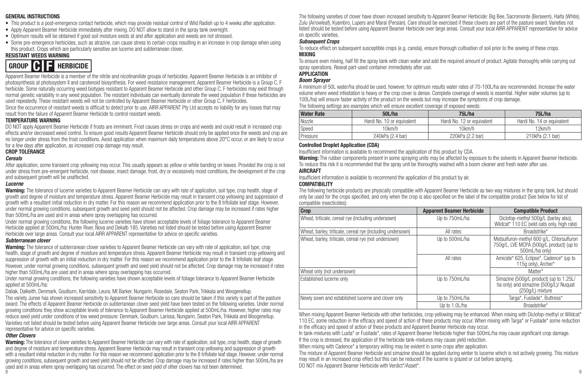#### **GENERAL INSTRUCTIONS**

- This product is a post-emergence contact herbicide, which may provide residual control of Wild Radish up to 4 weeks after application.
- Apply Apparent Beamer Herbicide immediately after mixing. DO NOT allow to stand in the spray tank overnight.
- Optimum results will be obtained if good soil moisture exists at and after application and weeds are not stressed.
- Some pre-emergence herbicides, such as atrazine, can cause stress to certain crops resulting in an increase in crop damage when using this product. Crops which are particularly sensitive are lucerne and subterranean clover.

#### **RESISTANT WEEDS WARNING**



Apparent Beamer Herbicide is a member of the nitrile and nicotinanilide groups of herbicides. Apparent Beamer Herbicide is an inhibitor of photosynthesis at photosystem II and carotenoid biosynthesis. For weed resistance management, Apparent Beamer Herbicide is a Group C, F herbicide. Some naturally occurring weed biotypes resistant to Apparent Beamer Herbicide and other Group C. F herbicides may exist through normal genetic variability in any weed population. The resistant individuals can eventually dominate the weed population if these herbicides are used repeatedly. These resistant weeds will not be controlled by Apparent Beamer Herbicide or other Group C, F herbicides.

Since the occurrence of resistant weeds is difficult to detect prior to use, AIRR APPARENT Pty Ltd accepts no liability for any losses that may result from the failure of Apparent Beamer Herbicide to control resistant weeds.

#### **TEMPERATURE WARNING**

DO NOT apply Apparent Beamer Herbicide if frosts are imminent. Frost causes stress on crops and weeds and could result in increased crop effects and/or decreased weed control. To ensure good results Apparent Beamer Herbicide should only be applied once the weeds and crop are no longer under stress from the frost conditions. Avoid application when maximum daily temperatures above 20°C occur, or are likely to occur for a few days after application, as increased crop damage may result.

#### **CROP TOLERANCE**

#### *Cereals*

After application, some transient crop yellowing may occur. This usually appears as yellow or white banding on leaves. Provided the crop is not under stress from pre-emergent herbicide, root disease, insect damage, frost, dry or excessively moist conditions, the development of the crop and subsequent growth will be unaffected.

#### *Lucerne*

**Warning:** The tolerance of lucerne varieties to Apparent Beamer Herbicide can vary with rate of application, soil type, crop health, stage of growth and degree of moisture and temperature stress. Apparent Beamer Herbicide may result in transient crop yellowing and suppression of growth with a resultant initial reduction in dry matter. For this reason we recommend application prior to the 8 trifoliate leaf stage. However, under normal growing conditions, subsequent growth and seed yield should not be affected. Crop damage may be increased if rates higher than 500mL/ha are used and in areas where spray overlapping has occurred.

Under normal growing conditions, the following lucerne varieties have shown acceptable levels of foliage tolerance to Apparent Beamer Herbicide applied at 500mL/ha: Hunter River, Nova and Dekalb 185. Varieties not listed should be tested before using Apparent Beamer Herbicide over large areas. Consult your local AIRR APPARENT representative for advice on specific varieties.

#### *Subterranean clover*

**Warning:** The tolerance of subterranean clover varieties to Apparent Beamer Herbicide can vary with rate of application, soil type, crop health, stage of growth and degree of moisture and temperature stress. Apparent Beamer Herbicide may result in transient crop yellowing and suppression of growth with an initial reduction in dry matter. For this reason we recommend application prior to the 8 trifoliate leaf stage. However, under normal growing conditions, subsequent growth and seed yield should not be affected. Crop damage may be increased if rates higher than 500mL/ha are used and in areas where spray overlapping has occurred.

Under normal growing conditions, the following varieties have shown acceptable levels of foliage tolerance to Apparent Beamer Herbicide applied at 500mL/ha:

Daliak, Dalkeith, Denmark, Goulburn, Karridale, Leura, Mt Barker, Nungarin, Rosedale, Seaton Park, Trikkala and Woogenellup. The variety Junee has shown increased sensitivity to Apparent Beamer Herbicide so care should be taken if this variety is part of the pasture sward. The effects of Apparent Beamer Herbicide on subterranean clover seed yield have been tested on the following varieties. Under normal growing conditions they show acceptable levels of tolerance to Apparent Beamer Herbicide applied at 500mL/ha. However, higher rates may reduce seed yield under conditions of low weed pressure: Denmark, Goulburn, Larissa, Nungarin, Seaton Park, Trikkala and Woogenellup. Varieties not listed should be tested before using Apparent Beamer Herbicide over large areas. Consult your local AIRR APPARENT representative for advice on specific varieties.

#### *Other Clovers*

8 9 **Warning:** The tolerance of clover varieties to Apparent Beamer Herbicide can vary with rate of application, soil type, crop health, stage of growth and degree of moisture and temperature stress. Apparent Beamer Herbicide may result in transient crop yellowing and suppression of growth with a resultant initial reduction in dry matter. For this reason we recommend application prior to the 8 trifoliate leaf stage. However, under normal growing conditions, subsequent growth and seed yield should not be affected. Crop damage may be increased if rates higher than 500mL/ha are used and in areas where spray overlapping has occurred. The effect on seed yield of other clovers has not been determined.

The following varieties of clover have shown increased sensitivity to Apparent Beamer Herbicide: Big Bee, Sacromonte (Berseem), Haifa (White), Zulu (Arrowleaf), Kyambro, Lupers and Maral (Persian). Care should be exercised if these clovers are part of the pasture sward. Varieties not listed should be tested before using Apparent Beamer Herbicide over large areas. Consult your local AIRR APPARENT representative for advice on specific varieties.

#### *Subsequent Crops*

To reduce effect on subsequent susceptible crops (e.g. canola), ensure thorough cultivation of soil prior to the sowing of these crops. **MIXING**

To ensure even mixing, half fill the spray tank with clean water and add the required amount of product. Agitate thoroughly while carrying out spray operations. Reseal part-used container immediately after use.

#### **APPLICATION**

#### *Boom Sprayer*

A minimum of 50L water/ha should be used, however, for optimum results water rates of 70-100L/ha are recommended. Increase the water volume where weed infestation is heavy or the crop cover is dense. Complete coverage of weeds is essential. Higher water volumes (up to 100L/ha) will ensure faster activity of the product on the weeds but may increase the symptoms of crop damage.

The following settings are examples which will ensure excellent coverage of exposed weeds:

| <b>Water Rate</b> | 50L/ha                     | 75L/ha                     | 75L/ha                     |
|-------------------|----------------------------|----------------------------|----------------------------|
| Nozzle            | Hardi No. 10 or equivalent | Hardi No. 12 or equivalent | Hardi No. 14 or equivalent |
| Speed             | l ()km/h                   | 10km/h                     | 12km/h                     |
| Pressure          | 240kPa (2.4 bar)           | 220kPa (2.2 bar)           | 210kPa (2.1 bar)           |

#### **Controlled Droplet Application (CDA)**

Insufficient information is available to recommend the application of this product by CDA.

**Warning:** The rubber components present in some spraying units may be affected by exposure to the solvents in Apparent Beamer Herbicide. To reduce this risk it is recommended that the spray unit be thoroughly washed with a boom cleaner and fresh water after use.

#### **AIRCRAFT**

Insufficient information is available to recommend the application of this product by air.

#### **COMPATIBILITY**

The following herbicide products are physically compatible with Apparent Beamer Herbicide as two-way mixtures in the spray tank, but should only be used for the crops specified, and only when the crop is also specified on the label of the compatible product (See below for list of compatible insecticides):

| Crop                                                       | <b>Apparent Beamer Herbicide</b> | <b>Compatible Product</b>                                                                               |
|------------------------------------------------------------|----------------------------------|---------------------------------------------------------------------------------------------------------|
| Wheat, triticale, cereal rye (including undersown)         | Up to 750mL/ha                   | Diclofop-methyl 500g/L (barley also),<br>Wildcat* 110 EC (wild oats only, high rate)                    |
| Wheat, barley, triticale, cereal rye (including undersown) | All rates                        | Broadstrike*                                                                                            |
| Wheat, barley, triticale, cereal rye (not undersown)       | Up to 500mL/ha                   | Metsulfuron-methyl 600 a/L. Chlorsulfuron<br>750g/L, LVE MCPA (500g/L product) (up to<br>500mL/ha only) |
|                                                            | All rates                        | Amicide* 625, Eclipse*, Cadence* (up to<br>115g only), Archer*                                          |
| Wheat only (not undersown)                                 |                                  | Matter*                                                                                                 |
| Established lucerne only                                   | Up to 750mL/ha                   | Simazine (500g/L product) (up to 1.25L/<br>ha only) and simazine (500g/L)/ Nuquat<br>(250g/L) mixture   |
| Newly sown and established lucerne and clover only         | Up to 750mL/ha                   | Targa*, Fusilade*, Buttress*                                                                            |
|                                                            | Up to 1.0L/ha                    | Broadstrike*                                                                                            |

When mixing Apparent Beamer Herbicide with other herbicides, crop vellowing may be enhanced. When mixing with Diclofop-methyl or Wildcat\* 110 EC, some reduction in the efficacy and speed of action of these products may occur. When mixing with Targa\* or Fusilade\* some reduction in the efficacy and speed of action of these products and Apparent Beamer Herbicide may occur.

In tank-mixtures with Lusta\* or Fusilade\*, rates of Apparent Beamer Herbicide higher than 500mL/ha may cause significant crop damage. If the crop is stressed, the application of the herbicide tank-mixtures may cause yield reduction.

When mixing with Cadence<sup>\*</sup> a temporary wilting may be evident in some crops after application.

The mixture of Apparent Beamer Herbicide and simazine should be applied during winter to lucerne which is not actively growing. This mixture may result in an increased crop effect but this can be reduced if the lucerne is grazed or cut before spraying.

DO NOT mix Apparent Beamer Herbicide with Verdict\*/Asset\*.